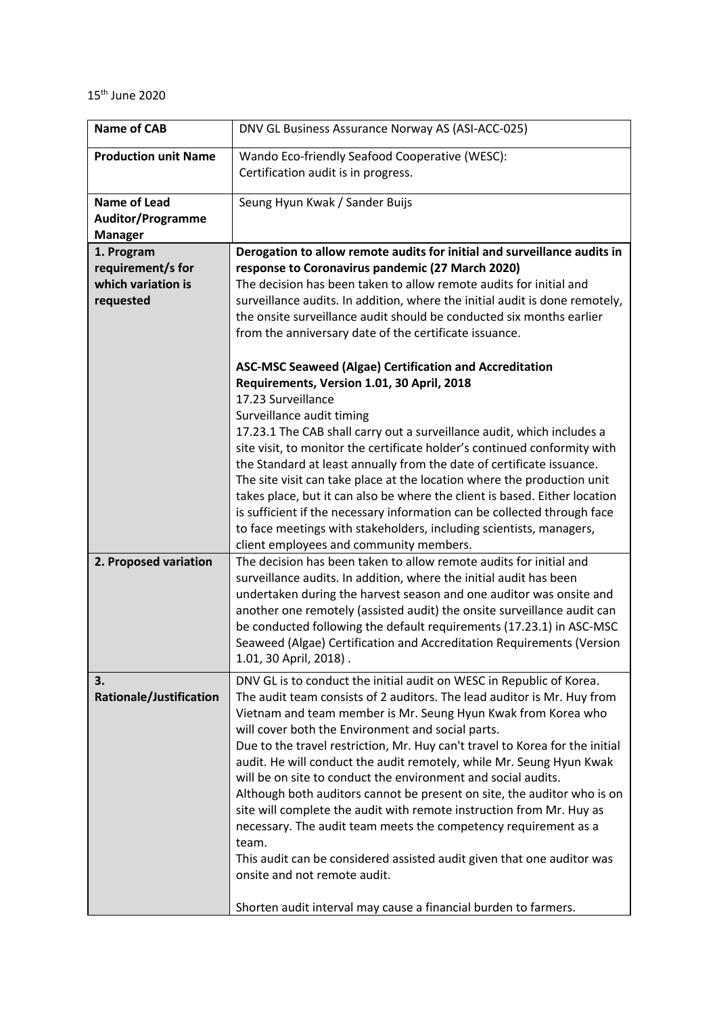## 15th June 2020

| <b>Name of CAB</b>                                                 | DNV GL Business Assurance Norway AS (ASI-ACC-025)                                                                                                                                                                                                                                                                                                                                                                                                                                                                                                                                                                                                                                                                                                                                                                                                                                                                                                                                                                                                                                                                                                                             |
|--------------------------------------------------------------------|-------------------------------------------------------------------------------------------------------------------------------------------------------------------------------------------------------------------------------------------------------------------------------------------------------------------------------------------------------------------------------------------------------------------------------------------------------------------------------------------------------------------------------------------------------------------------------------------------------------------------------------------------------------------------------------------------------------------------------------------------------------------------------------------------------------------------------------------------------------------------------------------------------------------------------------------------------------------------------------------------------------------------------------------------------------------------------------------------------------------------------------------------------------------------------|
| <b>Production unit Name</b>                                        | Wando Eco-friendly Seafood Cooperative (WESC):<br>Certification audit is in progress.                                                                                                                                                                                                                                                                                                                                                                                                                                                                                                                                                                                                                                                                                                                                                                                                                                                                                                                                                                                                                                                                                         |
| <b>Name of Lead</b><br><b>Auditor/Programme</b><br><b>Manager</b>  | Seung Hyun Kwak / Sander Buijs                                                                                                                                                                                                                                                                                                                                                                                                                                                                                                                                                                                                                                                                                                                                                                                                                                                                                                                                                                                                                                                                                                                                                |
| 1. Program<br>requirement/s for<br>which variation is<br>requested | Derogation to allow remote audits for initial and surveillance audits in<br>response to Coronavirus pandemic (27 March 2020)<br>The decision has been taken to allow remote audits for initial and<br>surveillance audits. In addition, where the initial audit is done remotely,<br>the onsite surveillance audit should be conducted six months earlier<br>from the anniversary date of the certificate issuance.<br><b>ASC-MSC Seaweed (Algae) Certification and Accreditation</b><br>Requirements, Version 1.01, 30 April, 2018<br>17.23 Surveillance<br>Surveillance audit timing<br>17.23.1 The CAB shall carry out a surveillance audit, which includes a<br>site visit, to monitor the certificate holder's continued conformity with<br>the Standard at least annually from the date of certificate issuance.<br>The site visit can take place at the location where the production unit<br>takes place, but it can also be where the client is based. Either location<br>is sufficient if the necessary information can be collected through face<br>to face meetings with stakeholders, including scientists, managers,<br>client employees and community members. |
| 2. Proposed variation                                              | The decision has been taken to allow remote audits for initial and<br>surveillance audits. In addition, where the initial audit has been<br>undertaken during the harvest season and one auditor was onsite and<br>another one remotely (assisted audit) the onsite surveillance audit can<br>be conducted following the default requirements (17.23.1) in ASC-MSC<br>Seaweed (Algae) Certification and Accreditation Requirements (Version<br>1.01, 30 April, 2018).                                                                                                                                                                                                                                                                                                                                                                                                                                                                                                                                                                                                                                                                                                         |
| 3.<br>Rationale/Justification                                      | DNV GL is to conduct the initial audit on WESC in Republic of Korea.<br>The audit team consists of 2 auditors. The lead auditor is Mr. Huy from<br>Vietnam and team member is Mr. Seung Hyun Kwak from Korea who<br>will cover both the Environment and social parts.<br>Due to the travel restriction, Mr. Huy can't travel to Korea for the initial<br>audit. He will conduct the audit remotely, while Mr. Seung Hyun Kwak<br>will be on site to conduct the environment and social audits.<br>Although both auditors cannot be present on site, the auditor who is on<br>site will complete the audit with remote instruction from Mr. Huy as<br>necessary. The audit team meets the competency requirement as a<br>team.<br>This audit can be considered assisted audit given that one auditor was<br>onsite and not remote audit.<br>Shorten audit interval may cause a financial burden to farmers.                                                                                                                                                                                                                                                                    |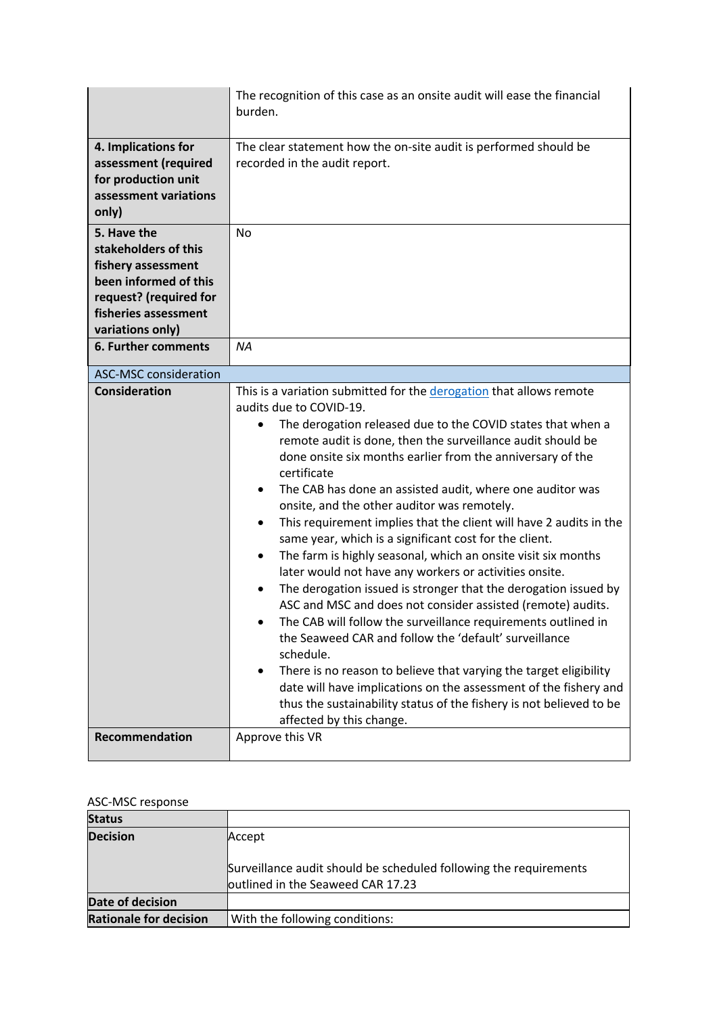|                                                                                                                                                          | The recognition of this case as an onsite audit will ease the financial<br>burden.                                                                                                                                                                                                                                                                                                                                                                                                                                                                                                                                                                                                                                                                                                                                                                                                                                                                                                                                                                                                                                                                                                               |
|----------------------------------------------------------------------------------------------------------------------------------------------------------|--------------------------------------------------------------------------------------------------------------------------------------------------------------------------------------------------------------------------------------------------------------------------------------------------------------------------------------------------------------------------------------------------------------------------------------------------------------------------------------------------------------------------------------------------------------------------------------------------------------------------------------------------------------------------------------------------------------------------------------------------------------------------------------------------------------------------------------------------------------------------------------------------------------------------------------------------------------------------------------------------------------------------------------------------------------------------------------------------------------------------------------------------------------------------------------------------|
| 4. Implications for<br>assessment (required<br>for production unit<br>assessment variations<br>only)                                                     | The clear statement how the on-site audit is performed should be<br>recorded in the audit report.                                                                                                                                                                                                                                                                                                                                                                                                                                                                                                                                                                                                                                                                                                                                                                                                                                                                                                                                                                                                                                                                                                |
| 5. Have the<br>stakeholders of this<br>fishery assessment<br>been informed of this<br>request? (required for<br>fisheries assessment<br>variations only) | <b>No</b>                                                                                                                                                                                                                                                                                                                                                                                                                                                                                                                                                                                                                                                                                                                                                                                                                                                                                                                                                                                                                                                                                                                                                                                        |
| <b>6. Further comments</b>                                                                                                                               | NA                                                                                                                                                                                                                                                                                                                                                                                                                                                                                                                                                                                                                                                                                                                                                                                                                                                                                                                                                                                                                                                                                                                                                                                               |
| <b>ASC-MSC consideration</b><br><b>Consideration</b>                                                                                                     | This is a variation submitted for the derogation that allows remote<br>audits due to COVID-19.<br>The derogation released due to the COVID states that when a<br>remote audit is done, then the surveillance audit should be<br>done onsite six months earlier from the anniversary of the<br>certificate<br>The CAB has done an assisted audit, where one auditor was<br>٠<br>onsite, and the other auditor was remotely.<br>This requirement implies that the client will have 2 audits in the<br>$\bullet$<br>same year, which is a significant cost for the client.<br>The farm is highly seasonal, which an onsite visit six months<br>٠<br>later would not have any workers or activities onsite.<br>The derogation issued is stronger that the derogation issued by<br>ASC and MSC and does not consider assisted (remote) audits.<br>The CAB will follow the surveillance requirements outlined in<br>the Seaweed CAR and follow the 'default' surveillance<br>schedule.<br>There is no reason to believe that varying the target eligibility<br>date will have implications on the assessment of the fishery and<br>thus the sustainability status of the fishery is not believed to be |
| Recommendation                                                                                                                                           | affected by this change.<br>Approve this VR                                                                                                                                                                                                                                                                                                                                                                                                                                                                                                                                                                                                                                                                                                                                                                                                                                                                                                                                                                                                                                                                                                                                                      |

## ASC-MSC response

| .                             |                                                                                                        |
|-------------------------------|--------------------------------------------------------------------------------------------------------|
| <b>Status</b>                 |                                                                                                        |
| <b>Decision</b>               | Accept                                                                                                 |
|                               | Surveillance audit should be scheduled following the requirements<br>outlined in the Seaweed CAR 17.23 |
| Date of decision              |                                                                                                        |
| <b>Rationale for decision</b> | With the following conditions:                                                                         |